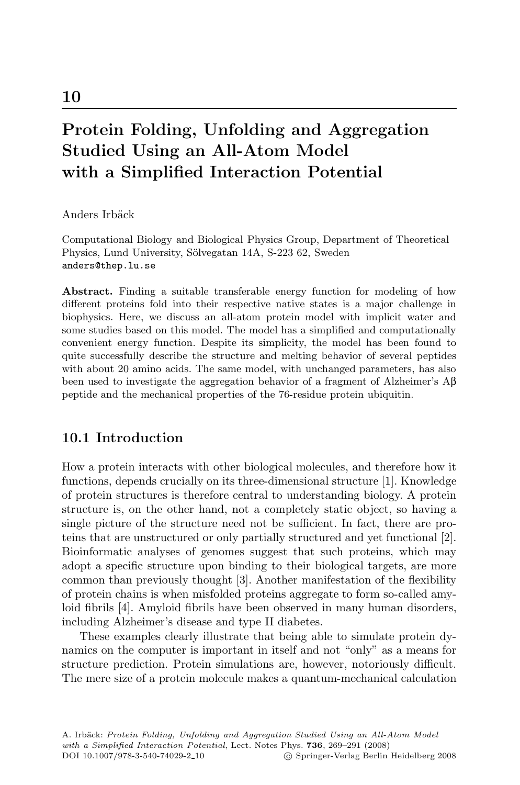# **Protein Folding, Unfolding and Aggregation Studied Using an All-Atom Model with a Simplified Interaction Potential**

Anders Irbäck

Computational Biology and Biological Physics Group, Department of Theoretical Physics, Lund University, Sölvegatan 14A, S-223 62, Sweden anders@thep.lu.se

**Abstract.** Finding a suitable transferable energy function for modeling of how different proteins fold into their respective native states is a major challenge in biophysics. Here, we discuss an all-atom protein model with implicit water and some studies based on this model. The model has a simplified and computationally convenient energy function. Despite its simplicity, the model has been found to quite successfully describe the structure and melting behavior of several peptides with about 20 amino acids. The same model, with unchanged parameters, has also been used to investigate the aggregation behavior of a fragment of Alzheimer's  $A\beta$ peptide and the mechanical properties of the 76-residue protein ubiquitin.

# **10.1 Introduction**

How a protein interacts with other biological molecules, and therefore how it functions, depends crucially on its three-dimensional structure [1]. Knowledge of protein structures is therefore central to understanding biology. A protein structure is, on the other hand, not a completely static object, so having a single picture of the structure need not be sufficient. In fact, there are proteins that are unstructured or only partially structured and yet functional [2]. Bioinformatic analyses of genomes suggest that such proteins, which may adopt a specific structure upon binding to their biological targets, are more common than previously thought [3]. Another manifestation of the flexibility of protein chains is when misfolded proteins aggregate to form so-called amyloid fibrils [4]. Amyloid fibrils have been observed in many human disorders, including Alzheimer's disease and type II diabetes.

These examples clearly illustrate that being able to simulate protein dynamics on the computer is important in itself and not "only" as a means for structure prediction. Protein simulations are, however, notoriously difficult. The mere size of a protein molecule makes a quantum-mechanical calculation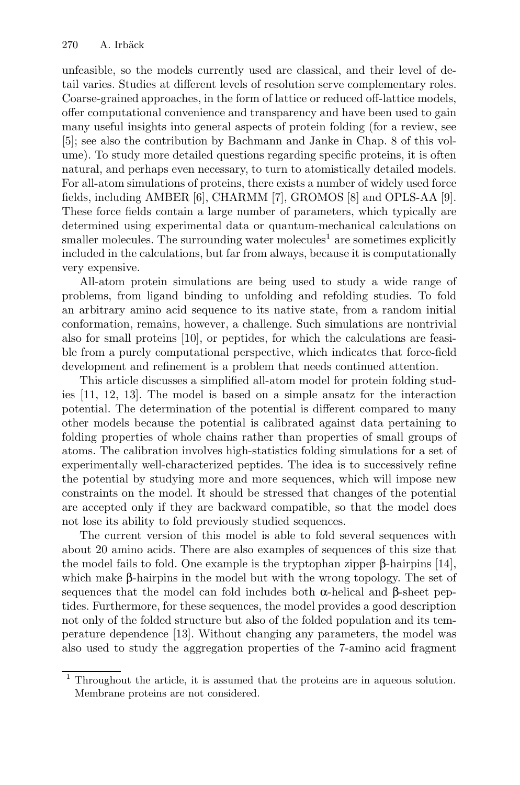unfeasible, so the models currently used are classical, and their level of detail varies. Studies at different levels of resolution serve complementary roles. Coarse-grained approaches, in the form of lattice or reduced off-lattice models, offer computational convenience and transparency and have been used to gain many useful insights into general aspects of protein folding (for a review, see [5]; see also the contribution by Bachmann and Janke in Chap. 8 of this volume). To study more detailed questions regarding specific proteins, it is often natural, and perhaps even necessary, to turn to atomistically detailed models. For all-atom simulations of proteins, there exists a number of widely used force fields, including AMBER [6], CHARMM [7], GROMOS [8] and OPLS-AA [9]. These force fields contain a large number of parameters, which typically are determined using experimental data or quantum-mechanical calculations on smaller molecules. The surrounding water molecules<sup>1</sup> are sometimes explicitly included in the calculations, but far from always, because it is computationally very expensive.

All-atom protein simulations are being used to study a wide range of problems, from ligand binding to unfolding and refolding studies. To fold an arbitrary amino acid sequence to its native state, from a random initial conformation, remains, however, a challenge. Such simulations are nontrivial also for small proteins [10], or peptides, for which the calculations are feasible from a purely computational perspective, which indicates that force-field development and refinement is a problem that needs continued attention.

This article discusses a simplified all-atom model for protein folding studies [11, 12, 13]. The model is based on a simple ansatz for the interaction potential. The determination of the potential is different compared to many other models because the potential is calibrated against data pertaining to folding properties of whole chains rather than properties of small groups of atoms. The calibration involves high-statistics folding simulations for a set of experimentally well-characterized peptides. The idea is to successively refine the potential by studying more and more sequences, which will impose new constraints on the model. It should be stressed that changes of the potential are accepted only if they are backward compatible, so that the model does not lose its ability to fold previously studied sequences.

The current version of this model is able to fold several sequences with about 20 amino acids. There are also examples of sequences of this size that the model fails to fold. One example is the tryptophan zipper  $\beta$ -hairpins [14], which make β-hairpins in the model but with the wrong topology. The set of sequences that the model can fold includes both  $\alpha$ -helical and  $\beta$ -sheet peptides. Furthermore, for these sequences, the model provides a good description not only of the folded structure but also of the folded population and its temperature dependence [13]. Without changing any parameters, the model was also used to study the aggregation properties of the 7-amino acid fragment

 $1$  Throughout the article, it is assumed that the proteins are in aqueous solution. Membrane proteins are not considered.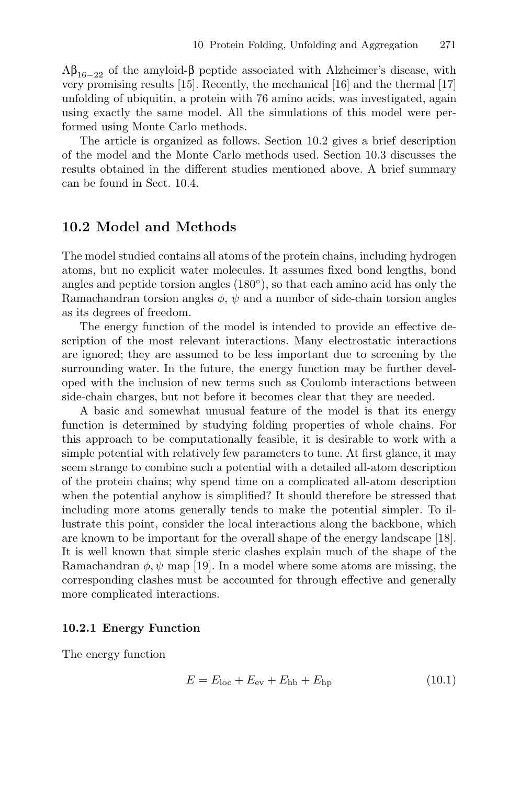$A\beta_{16-22}$  of the amyloid- $\beta$  peptide associated with Alzheimer's disease, with very promising results [15]. Recently, the mechanical [16] and the thermal [17] unfolding of ubiquitin, a protein with 76 amino acids, was investigated, again using exactly the same model. All the simulations of this model were performed using Monte Carlo methods.

The article is organized as follows. Section 10.2 gives a brief description of the model and the Monte Carlo methods used. Section 10.3 discusses the results obtained in the different studies mentioned above. A brief summary can be found in Sect. 10.4.

### **10.2 Model and Methods**

The model studied contains all atoms of the protein chains, including hydrogen atoms, but no explicit water molecules. It assumes fixed bond lengths, bond angles and peptide torsion angles (180◦), so that each amino acid has only the Ramachandran torsion angles  $\phi$ ,  $\psi$  and a number of side-chain torsion angles as its degrees of freedom.

The energy function of the model is intended to provide an effective description of the most relevant interactions. Many electrostatic interactions are ignored; they are assumed to be less important due to screening by the surrounding water. In the future, the energy function may be further developed with the inclusion of new terms such as Coulomb interactions between side-chain charges, but not before it becomes clear that they are needed.

A basic and somewhat unusual feature of the model is that its energy function is determined by studying folding properties of whole chains. For this approach to be computationally feasible, it is desirable to work with a simple potential with relatively few parameters to tune. At first glance, it may seem strange to combine such a potential with a detailed all-atom description of the protein chains; why spend time on a complicated all-atom description when the potential anyhow is simplified? It should therefore be stressed that including more atoms generally tends to make the potential simpler. To illustrate this point, consider the local interactions along the backbone, which are known to be important for the overall shape of the energy landscape [18]. It is well known that simple steric clashes explain much of the shape of the Ramachandran  $\phi, \psi$  map [19]. In a model where some atoms are missing, the corresponding clashes must be accounted for through effective and generally more complicated interactions.

#### **10.2.1 Energy Function**

The energy function

$$
E = Eloc + Eev + Ehb + Ehp
$$
 (10.1)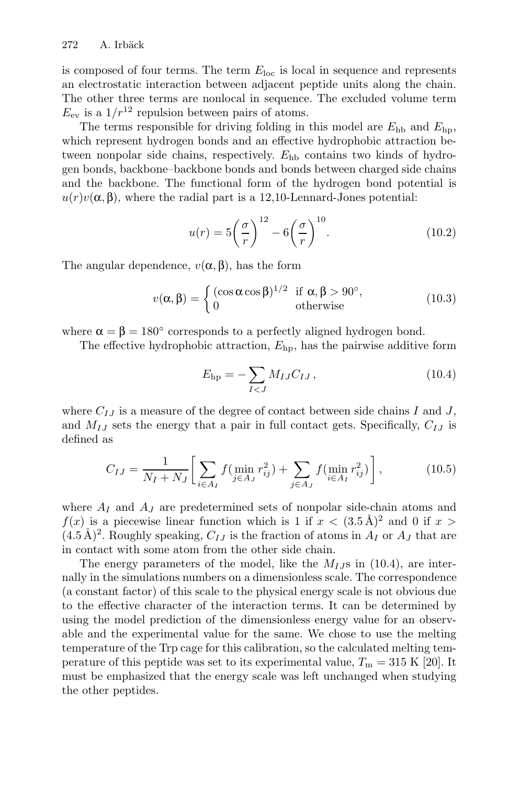is composed of four terms. The term  $E_{\text{loc}}$  is local in sequence and represents an electrostatic interaction between adjacent peptide units along the chain. The other three terms are nonlocal in sequence. The excluded volume term  $E_{\text{ev}}$  is a  $1/r^{12}$  repulsion between pairs of atoms.

The terms responsible for driving folding in this model are  $E_{\rm hb}$  and  $E_{\rm ho}$ , which represent hydrogen bonds and an effective hydrophobic attraction between nonpolar side chains, respectively.  $E_{\rm hb}$  contains two kinds of hydrogen bonds, backbone–backbone bonds and bonds between charged side chains and the backbone. The functional form of the hydrogen bond potential is  $u(r)v(\alpha, \beta)$ , where the radial part is a 12,10-Lennard-Jones potential:

$$
u(r) = 5\left(\frac{\sigma}{r}\right)^{12} - 6\left(\frac{\sigma}{r}\right)^{10}.\tag{10.2}
$$

The angular dependence,  $v(\alpha, \beta)$ , has the form

$$
v(\alpha, \beta) = \begin{cases} (\cos \alpha \cos \beta)^{1/2} & \text{if } \alpha, \beta > 90^{\circ}, \\ 0 & \text{otherwise} \end{cases}
$$
(10.3)

where  $\alpha = \beta = 180^{\circ}$  corresponds to a perfectly aligned hydrogen bond.

The effective hydrophobic attraction,  $E_{hp}$ , has the pairwise additive form

$$
E_{\rm hp} = -\sum_{I < J} M_{IJ} C_{IJ} \,, \tag{10.4}
$$

where  $C_{IJ}$  is a measure of the degree of contact between side chains I and J, and  $M_{IJ}$  sets the energy that a pair in full contact gets. Specifically,  $C_{IJ}$  is defined as

$$
C_{IJ} = \frac{1}{N_I + N_J} \left[ \sum_{i \in A_I} f(\min_{j \in A_J} r_{ij}^2) + \sum_{j \in A_J} f(\min_{i \in A_I} r_{ij}^2) \right],
$$
(10.5)

where  $A_I$  and  $A_J$  are predetermined sets of nonpolar side-chain atoms and  $f(x)$  is a piecewise linear function which is 1 if  $x < (3.5 \text{ Å})^2$  and 0 if  $x >$  $(4.5 \text{ Å})^2$ . Roughly speaking,  $C_{IJ}$  is the fraction of atoms in  $A_I$  or  $A_J$  that are in contact with some atom from the other side chain.

The energy parameters of the model, like the  $M_{IJS}$  in (10.4), are internally in the simulations numbers on a dimensionless scale. The correspondence (a constant factor) of this scale to the physical energy scale is not obvious due to the effective character of the interaction terms. It can be determined by using the model prediction of the dimensionless energy value for an observable and the experimental value for the same. We chose to use the melting temperature of the Trp cage for this calibration, so the calculated melting temperature of this peptide was set to its experimental value,  $T_m = 315 \text{ K }[20]$ . It must be emphasized that the energy scale was left unchanged when studying the other peptides.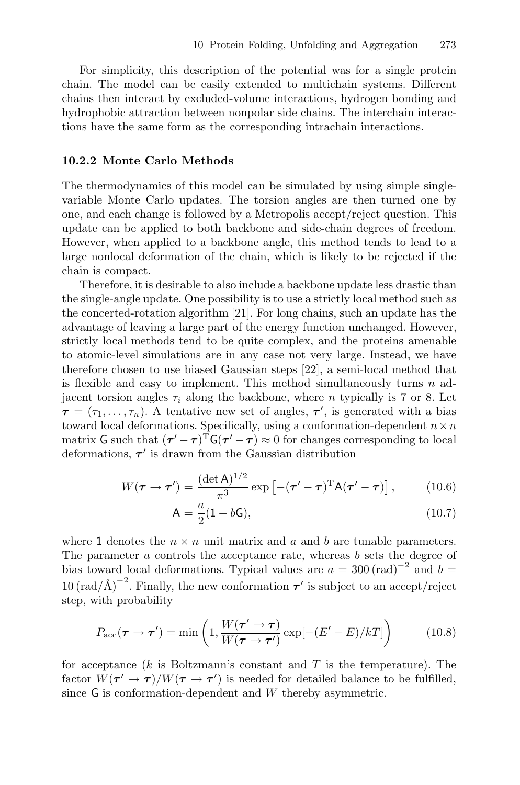For simplicity, this description of the potential was for a single protein chain. The model can be easily extended to multichain systems. Different chains then interact by excluded-volume interactions, hydrogen bonding and hydrophobic attraction between nonpolar side chains. The interchain interactions have the same form as the corresponding intrachain interactions.

#### **10.2.2 Monte Carlo Methods**

The thermodynamics of this model can be simulated by using simple singlevariable Monte Carlo updates. The torsion angles are then turned one by one, and each change is followed by a Metropolis accept/reject question. This update can be applied to both backbone and side-chain degrees of freedom. However, when applied to a backbone angle, this method tends to lead to a large nonlocal deformation of the chain, which is likely to be rejected if the chain is compact.

Therefore, it is desirable to also include a backbone update less drastic than the single-angle update. One possibility is to use a strictly local method such as the concerted-rotation algorithm [21]. For long chains, such an update has the advantage of leaving a large part of the energy function unchanged. However, strictly local methods tend to be quite complex, and the proteins amenable to atomic-level simulations are in any case not very large. Instead, we have therefore chosen to use biased Gaussian steps [22], a semi-local method that is flexible and easy to implement. This method simultaneously turns  $n$  adjacent torsion angles  $\tau_i$  along the backbone, where *n* typically is 7 or 8. Let  $\tau = (\tau_1, \ldots, \tau_n)$ . A tentative new set of angles,  $\tau'$ , is generated with a bias toward local deformations. Specifically, using a conformation-dependent  $n \times n$ matrix G such that  $({\tau}' - {\tau})^T G({\tau}' - {\tau}) \approx 0$  for changes corresponding to local deformations,  $\tau'$  is drawn from the Gaussian distribution

$$
W(\boldsymbol{\tau} \to \boldsymbol{\tau}') = \frac{(\det \mathsf{A})^{1/2}}{\pi^3} \exp\left[ -(\boldsymbol{\tau}' - \boldsymbol{\tau})^{\mathrm{T}} \mathsf{A} (\boldsymbol{\tau}' - \boldsymbol{\tau}) \right],\tag{10.6}
$$

$$
A = \frac{a}{2}(1 + bG),
$$
 (10.7)

where 1 denotes the  $n \times n$  unit matrix and a and b are tunable parameters. The parameter  $a$  controls the acceptance rate, whereas  $b$  sets the degree of bias toward local deformations. Typical values are  $a = 300 \text{ (rad)}^{-2}$  and  $b =$  $10(\text{rad}/\text{\AA})^{-2}$ . Finally, the new conformation  $\tau'$  is subject to an accept/reject step, with probability

$$
P_{\rm acc}(\tau \to \tau') = \min\left(1, \frac{W(\tau' \to \tau)}{W(\tau \to \tau')} \exp[-(E'-E)/kT]\right) \tag{10.8}
$$

for acceptance (k is Boltzmann's constant and T is the temperature). The factor  $W(\tau' \to \tau)/W(\tau \to \tau')$  is needed for detailed balance to be fulfilled, since  $G$  is conformation-dependent and  $W$  thereby asymmetric.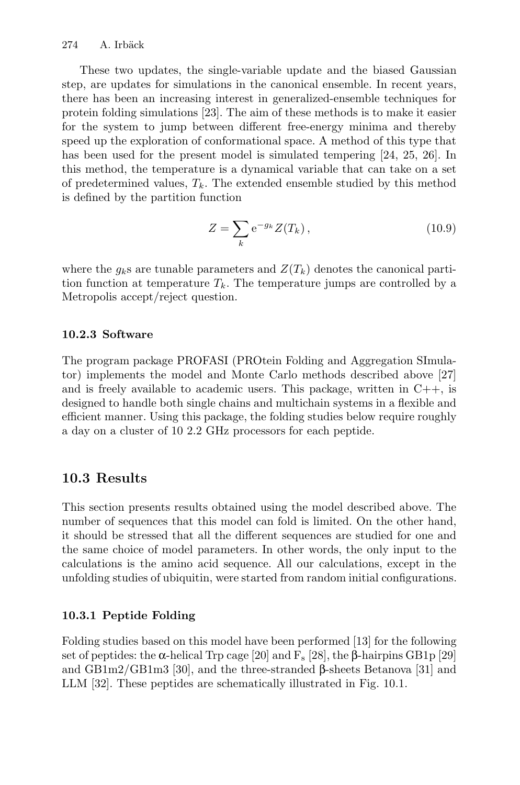These two updates, the single-variable update and the biased Gaussian step, are updates for simulations in the canonical ensemble. In recent years, there has been an increasing interest in generalized-ensemble techniques for protein folding simulations [23]. The aim of these methods is to make it easier for the system to jump between different free-energy minima and thereby speed up the exploration of conformational space. A method of this type that has been used for the present model is simulated tempering [24, 25, 26]. In this method, the temperature is a dynamical variable that can take on a set of predetermined values,  $T_k$ . The extended ensemble studied by this method is defined by the partition function

$$
Z = \sum_{k} e^{-g_k} Z(T_k), \qquad (10.9)
$$

where the  $g_k$ s are tunable parameters and  $Z(T_k)$  denotes the canonical partition function at temperature  $T_k$ . The temperature jumps are controlled by a Metropolis accept/reject question.

#### **10.2.3 Software**

The program package PROFASI (PROtein Folding and Aggregation SImulator) implements the model and Monte Carlo methods described above [27] and is freely available to academic users. This package, written in  $C_{++}$ , is designed to handle both single chains and multichain systems in a flexible and efficient manner. Using this package, the folding studies below require roughly a day on a cluster of 10 2.2 GHz processors for each peptide.

# **10.3 Results**

This section presents results obtained using the model described above. The number of sequences that this model can fold is limited. On the other hand, it should be stressed that all the different sequences are studied for one and the same choice of model parameters. In other words, the only input to the calculations is the amino acid sequence. All our calculations, except in the unfolding studies of ubiquitin, were started from random initial configurations.

# **10.3.1 Peptide Folding**

Folding studies based on this model have been performed [13] for the following set of peptides: the  $\alpha$ -helical Trp cage [20] and  $F_s$  [28], the  $\beta$ -hairpins GB1p [29] and  $GB1m2/GB1m3$  [30], and the three-stranded  $\beta$ -sheets Betanova [31] and LLM [32]. These peptides are schematically illustrated in Fig. 10.1.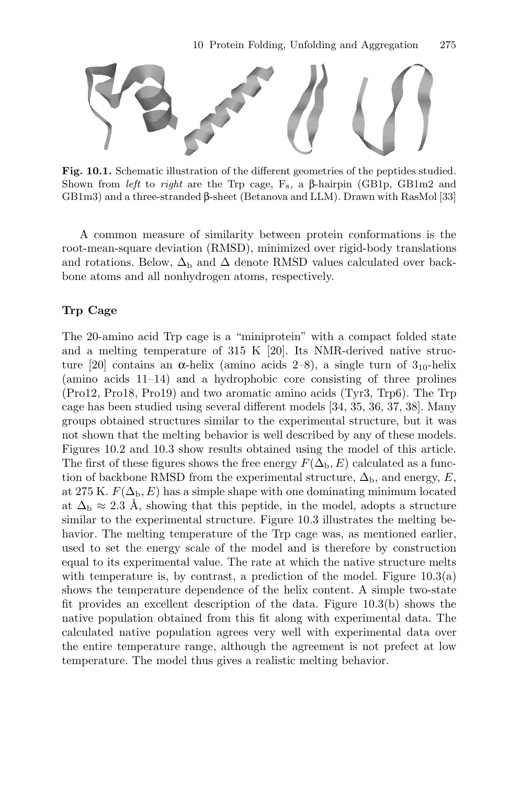

**Fig. 10.1.** Schematic illustration of the different geometries of the peptides studied. Shown from *left* to *right* are the Trp cage, Fs, a β-hairpin (GB1p, GB1m2 and GB1m3) and a three-stranded β-sheet (Betanova and LLM). Drawn with RasMol [33]

A common measure of similarity between protein conformations is the root-mean-square deviation (RMSD), minimized over rigid-body translations and rotations. Below,  $\Delta_{\rm b}$  and  $\Delta$  denote RMSD values calculated over backbone atoms and all nonhydrogen atoms, respectively.

#### **Trp Cage**

The 20-amino acid Trp cage is a "miniprotein" with a compact folded state and a melting temperature of 315 K [20]. Its NMR-derived native structure [20] contains an α-helix (amino acids 2–8), a single turn of 3<sub>10</sub>-helix (amino acids 11–14) and a hydrophobic core consisting of three prolines (Pro12, Pro18, Pro19) and two aromatic amino acids (Tyr3, Trp6). The Trp cage has been studied using several different models [34, 35, 36, 37, 38]. Many groups obtained structures similar to the experimental structure, but it was not shown that the melting behavior is well described by any of these models. Figures 10.2 and 10.3 show results obtained using the model of this article. The first of these figures shows the free energy  $F(\Delta_b, E)$  calculated as a function of backbone RMSD from the experimental structure,  $\Delta_{\rm b}$ , and energy, E, at 275 K.  $F(\Delta_{b}, E)$  has a simple shape with one dominating minimum located at  $\Delta_{\rm b} \approx 2.3$  Å, showing that this peptide, in the model, adopts a structure similar to the experimental structure. Figure 10.3 illustrates the melting behavior. The melting temperature of the Trp cage was, as mentioned earlier, used to set the energy scale of the model and is therefore by construction equal to its experimental value. The rate at which the native structure melts with temperature is, by contrast, a prediction of the model. Figure 10.3(a) shows the temperature dependence of the helix content. A simple two-state fit provides an excellent description of the data. Figure 10.3(b) shows the native population obtained from this fit along with experimental data. The calculated native population agrees very well with experimental data over the entire temperature range, although the agreement is not prefect at low temperature. The model thus gives a realistic melting behavior.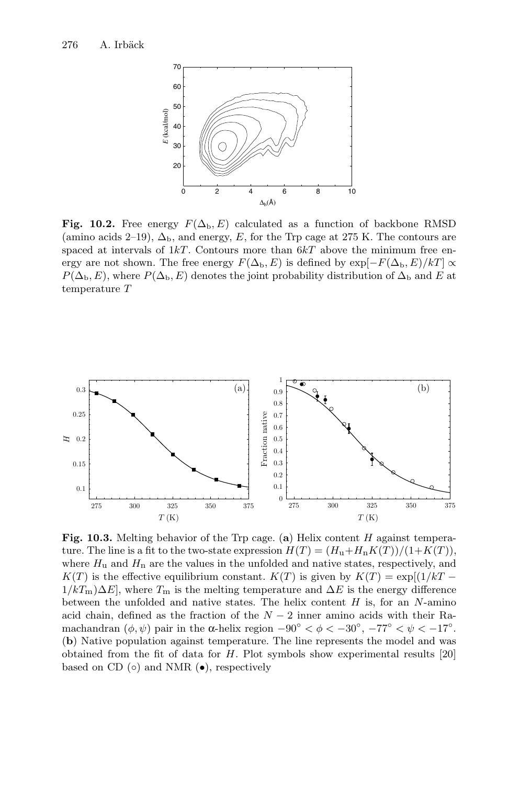

**Fig. 10.2.** Free energy  $F(\Delta_b, E)$  calculated as a function of backbone RMSD (amino acids 2–19),  $\Delta_{\rm b}$ , and energy, E, for the Trp cage at 275 K. The contours are spaced at intervals of  $1kT$ . Contours more than  $6kT$  above the minimum free energy are not shown. The free energy  $F(\Delta_b, E)$  is defined by  $\exp[-F(\Delta_b, E)/kT] \propto$  $P(\Delta_{\rm b}, E)$ , where  $P(\Delta_{\rm b}, E)$  denotes the joint probability distribution of  $\Delta_{\rm b}$  and E at temperature T



**Fig. 10.3.** Melting behavior of the Trp cage. (**a**) Helix content <sup>H</sup> against temperature. The line is a fit to the two-state expression  $H(T)=(H_u+H_nK(T))/(1+K(T)),$ where  $H_u$  and  $H_u$  are the values in the unfolded and native states, respectively, and  $K(T)$  is the effective equilibrium constant.  $K(T)$  is given by  $K(T) = \exp[(1/kT 1/kT_{\rm m}\Delta E$ , where  $T_{\rm m}$  is the melting temperature and  $\Delta E$  is the energy difference between the unfolded and native states. The helix content  $H$  is, for an  $N$ -amino acid chain, defined as the fraction of the  $N-2$  inner amino acids with their Ramachandran  $(\phi, \psi)$  pair in the α-helix region  $-90^{\circ} < \phi < -30^{\circ}$ ,  $-77^{\circ} < \psi < -17^{\circ}$ . (**b**) Native population against temperature. The line represents the model and was obtained from the fit of data for H. Plot symbols show experimental results [20] based on CD  $\circ$  and NMR  $\circ$ , respectively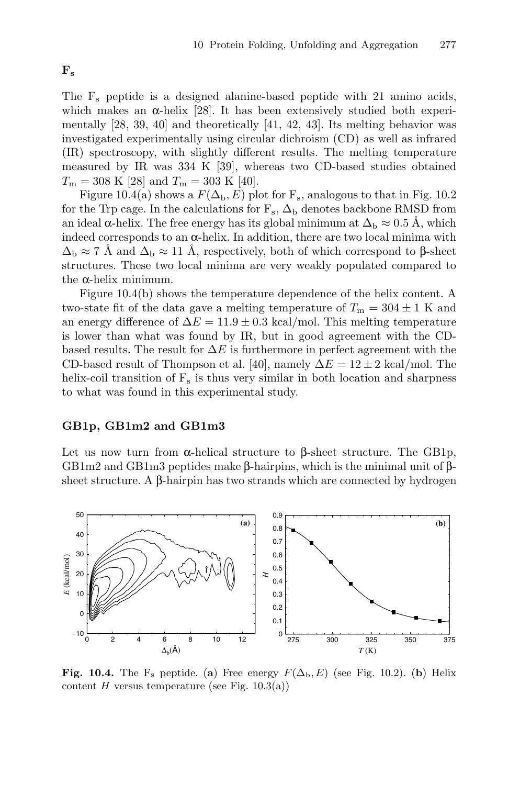#### $\mathbf{F}_\mathbf{s}$

The F<sup>s</sup> peptide is a designed alanine-based peptide with 21 amino acids, which makes an  $\alpha$ -helix [28]. It has been extensively studied both experimentally [28, 39, 40] and theoretically [41, 42, 43]. Its melting behavior was investigated experimentally using circular dichroism (CD) as well as infrared (IR) spectroscopy, with slightly different results. The melting temperature measured by IR was 334 K [39], whereas two CD-based studies obtained  $T_{\rm m} = 308 \text{ K}$  [28] and  $T_{\rm m} = 303 \text{ K}$  [40].

Figure 10.4(a) shows a  $F(\Delta_{\rm b}, E)$  plot for F<sub>s</sub>, analogous to that in Fig. 10.2 for the Trp cage. In the calculations for  $F_s$ ,  $\Delta_b$  denotes backbone RMSD from an ideal  $\alpha$ -helix. The free energy has its global minimum at  $\Delta_{\rm b} \approx 0.5$  Å, which indeed corresponds to an  $\alpha$ -helix. In addition, there are two local minima with  $\Delta_{\rm b} \approx 7$  Å and  $\Delta_{\rm b} \approx 11$  Å, respectively, both of which correspond to β-sheet structures. These two local minima are very weakly populated compared to the α-helix minimum.

Figure 10.4(b) shows the temperature dependence of the helix content. A two-state fit of the data gave a melting temperature of  $T_m = 304 \pm 1$  K and an energy difference of  $\Delta E = 11.9 \pm 0.3$  kcal/mol. This melting temperature is lower than what was found by IR, but in good agreement with the CDbased results. The result for  $\Delta E$  is furthermore in perfect agreement with the CD-based result of Thompson et al. [40], namely  $\Delta E = 12 \pm 2$  kcal/mol. The helix-coil transition of  $F_s$  is thus very similar in both location and sharpness to what was found in this experimental study.

#### **GB1p, GB1m2 and GB1m3**

Let us now turn from  $\alpha$ -helical structure to  $\beta$ -sheet structure. The GB1p, GB1m2 and GB1m3 peptides make β-hairpins, which is the minimal unit of βsheet structure. A  $\beta$ -hairpin has two strands which are connected by hydrogen



**Fig. 10.4.** The F<sub>s</sub> peptide. (a) Free energy  $F(\Delta_b, E)$  (see Fig. 10.2). (b) Helix content H versus temperature (see Fig.  $10.3(a)$ )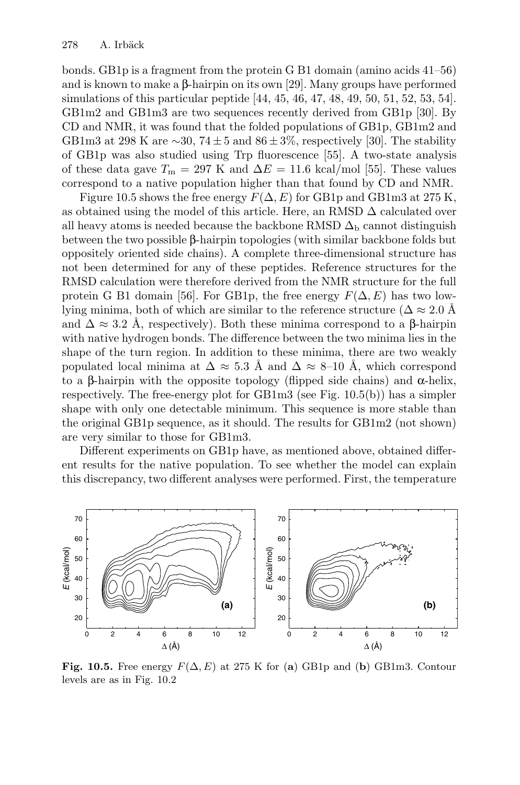bonds. GB1p is a fragment from the protein G B1 domain (amino acids 41–56) and is known to make a β-hairpin on its own [29]. Many groups have performed simulations of this particular peptide [44, 45, 46, 47, 48, 49, 50, 51, 52, 53, 54]. GB1m2 and GB1m3 are two sequences recently derived from GB1p [30]. By CD and NMR, it was found that the folded populations of GB1p, GB1m2 and GB1m3 at 298 K are  $\sim$ 30, 74 ± 5 and 86 ± 3%, respectively [30]. The stability of GB1p was also studied using Trp fluorescence [55]. A two-state analysis of these data gave  $T_{\rm m} = 297$  K and  $\Delta E = 11.6$  kcal/mol [55]. These values correspond to a native population higher than that found by CD and NMR.

Figure 10.5 shows the free energy  $F(\Delta, E)$  for GB1p and GB1m3 at 275 K, as obtained using the model of this article. Here, an RMSD  $\Delta$  calculated over all heavy atoms is needed because the backbone RMSD  $\Delta_{\rm b}$  cannot distinguish between the two possible β-hairpin topologies (with similar backbone folds but oppositely oriented side chains). A complete three-dimensional structure has not been determined for any of these peptides. Reference structures for the RMSD calculation were therefore derived from the NMR structure for the full protein G B1 domain [56]. For GB1p, the free energy  $F(\Delta, E)$  has two lowlying minima, both of which are similar to the reference structure ( $\Delta \approx 2.0$ ) Å and  $\Delta \approx 3.2$  Å, respectively). Both these minima correspond to a  $\beta$ -hairpin with native hydrogen bonds. The difference between the two minima lies in the shape of the turn region. In addition to these minima, there are two weakly populated local minima at  $\Delta \approx 5.3$  Å and  $\Delta \approx 8{\text -}10$  Å, which correspond to a β-hairpin with the opposite topology (flipped side chains) and  $\alpha$ -helix, respectively. The free-energy plot for GB1m3 (see Fig. 10.5(b)) has a simpler shape with only one detectable minimum. This sequence is more stable than the original GB1p sequence, as it should. The results for GB1m2 (not shown) are very similar to those for GB1m3.

Different experiments on GB1p have, as mentioned above, obtained different results for the native population. To see whether the model can explain this discrepancy, two different analyses were performed. First, the temperature



**Fig. 10.5.** Free energy  $F(\Delta, E)$  at 275 K for (a) GB1p and (b) GB1m3. Contour levels are as in Fig. 10.2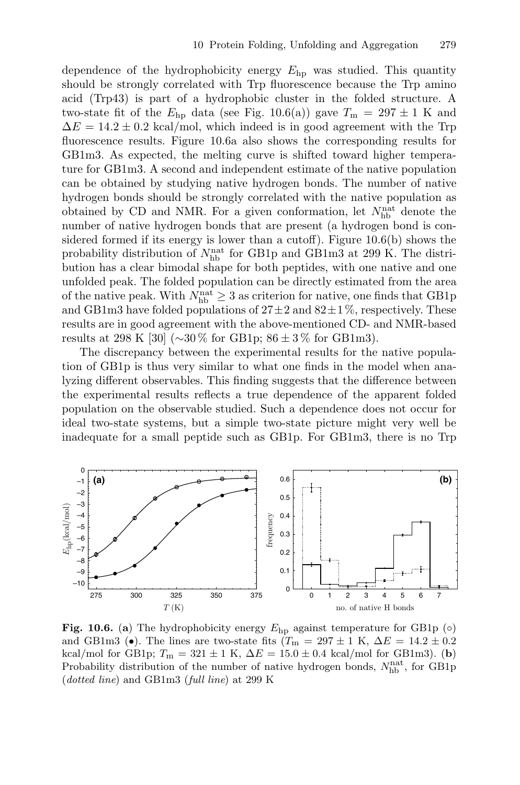dependence of the hydrophobicity energy  $E_{hp}$  was studied. This quantity should be strongly correlated with Trp fluorescence because the Trp amino acid (Trp43) is part of a hydrophobic cluster in the folded structure. A two-state fit of the  $E_{\text{hp}}$  data (see Fig. 10.6(a)) gave  $T_{\text{m}} = 297 \pm 1$  K and  $\Delta E = 14.2 \pm 0.2$  kcal/mol, which indeed is in good agreement with the Trp fluorescence results. Figure 10.6a also shows the corresponding results for GB1m3. As expected, the melting curve is shifted toward higher temperature for GB1m3. A second and independent estimate of the native population can be obtained by studying native hydrogen bonds. The number of native hydrogen bonds should be strongly correlated with the native population as obtained by CD and NMR. For a given conformation, let  $N_{\rm hb}^{\rm nat}$  denote the number of native hydrogen bonds that are present (a hydrogen bond is considered formed if its energy is lower than a cutoff). Figure  $10.6(b)$  shows the probability distribution of  $N_{\rm hb}^{\rm nat}$  for GB1p and GB1m3 at 299 K. The distribution has a clear bimodal shape for both peptides, with one native and one unfolded peak. The folded population can be directly estimated from the area % of the native peak. With  $N_{\rm hb}^{\rm nat} \geq 3$  as criterion for native, one finds that GB1p and GB1m3 have folded populations of  $27 \pm 2$  and  $82 \pm 1$ %, respectively. These results are in good agreement with the above-mentioned CD- and NMR-based results at 298 K [30] ( $\sim$ 30 % for GB1p; 86 ± 3 % for GB1m3).

The discrepancy between the experimental results for the native population of GB1p is thus very similar to what one finds in the model when analyzing different observables. This finding suggests that the difference between the experimental results reflects a true dependence of the apparent folded population on the observable studied. Such a dependence does not occur for ideal two-state systems, but a simple two-state picture might very well be inadequate for a small peptide such as GB1p. For GB1m3, there is no Trp



**Fig. 10.6.** (a) The hydrophobicity energy  $E_{\text{hp}}$  against temperature for GB1p ( $\circ$ ) and GB1m3 ( $\bullet$ ). The lines are two-state fits  $(T_m = 297 \pm 1 \text{ K}, \Delta E = 14.2 \pm 0.2$ kcal/mol for GB1p;  $T_m = 321 \pm 1$  K,  $\Delta E = 15.0 \pm 0.4$  kcal/mol for GB1m3). (**b**) Probability distribution of the number of native hydrogen bonds,  $N_{\rm hb}^{\rm nat}$ , for GB1p (*dotted line*) and GB1m3 (*full line*) at 299 K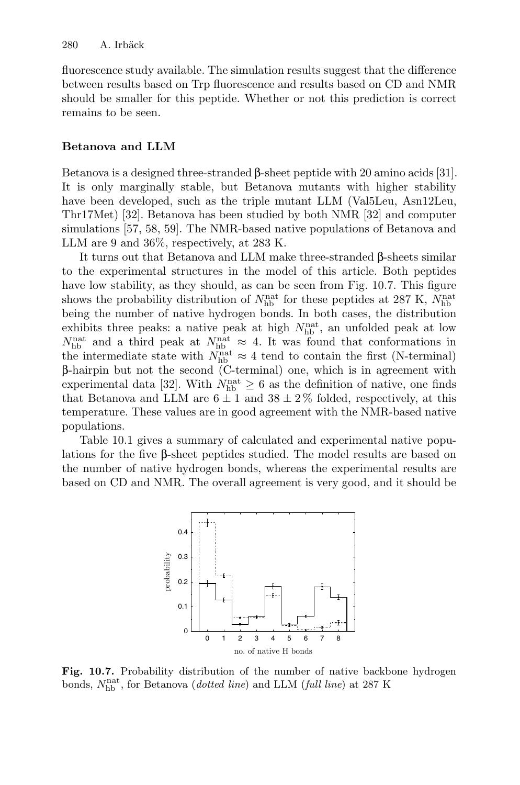fluorescence study available. The simulation results suggest that the difference between results based on Trp fluorescence and results based on CD and NMR should be smaller for this peptide. Whether or not this prediction is correct remains to be seen.

#### **Betanova and LLM**

Betanova is a designed three-stranded  $\beta$ -sheet peptide with 20 amino acids [31]. It is only marginally stable, but Betanova mutants with higher stability have been developed, such as the triple mutant LLM (Val5Leu, Asn12Leu, Thr17Met) [32]. Betanova has been studied by both NMR [32] and computer simulations [57, 58, 59]. The NMR-based native populations of Betanova and LLM are 9 and 36%, respectively, at 283 K.

It turns out that Betanova and LLM make three-stranded β-sheets similar to the experimental structures in the model of this article. Both peptides have low stability, as they should, as can be seen from Fig. 10.7. This figure shows the probability distribution of  $N_{\rm hb}^{\rm nat}$  for these peptides at 287 K,  $N_{\rm hb}^{\rm nat}$ being the number of native hydrogen bonds. In both cases, the distribution exhibits three peaks: a native peak at high  $N_{\rm hb}^{\rm nat}$ , an unfolded peak at low  $N_{\rm hb}^{\rm nat}$  and a third peak at  $N_{\rm hb}^{\rm nat} \approx 4$ . It was found that conformations in the intermediate state with  $N_{\rm hb}^{\rm nat} \approx 4$  tend to contain the first (N-terminal) β-hairpin but not the second (C-terminal) one, which is in agreement with experimental data [32]. With  $N_{\text{hb}}^{\text{nat}} \geq 6$  as the definition of native, one finds that Betanova and LLM are  $6 \pm 1$  and  $38 \pm 2\%$  folded, respectively, at this temperature. These values are in good agreement with the NMR-based native populations.

Table 10.1 gives a summary of calculated and experimental native populations for the five β-sheet peptides studied. The model results are based on the number of native hydrogen bonds, whereas the experimental results are based on CD and NMR. The overall agreement is very good, and it should be



Fig. 10.7. Probability distribution of the number of native backbone hydrogen bonds,  $N_{\rm hb}^{\rm nat}$ , for Betanova (*dotted line*) and LLM (*full line*) at 287 K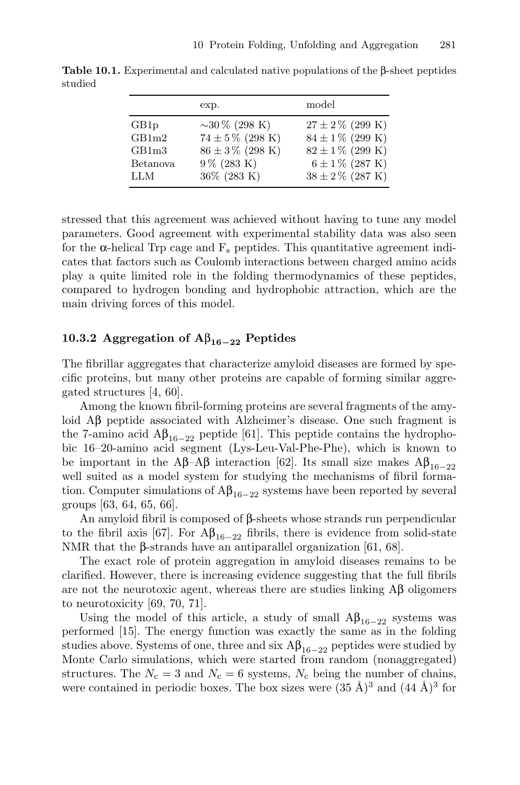|                  | exp.                 | model                |
|------------------|----------------------|----------------------|
| GB1 <sub>p</sub> | $\sim$ 30 % (298 K)  | $27 \pm 2\%$ (299 K) |
| GB1m2            | $74 \pm 5\%$ (298 K) | $84 \pm 1\%$ (299 K) |
| GB1m3            | $86 \pm 3\%$ (298 K) | $82 \pm 1\%$ (299 K) |
| Betanova         | $9\%$ (283 K)        | $6 \pm 1\%$ (287 K)  |
| LLM              | 36% (283 K)          | $38 \pm 2\%$ (287 K) |

**Table 10.1.** Experimental and calculated native populations of the  $\beta$ -sheet peptides studied

stressed that this agreement was achieved without having to tune any model parameters. Good agreement with experimental stability data was also seen for the  $\alpha$ -helical Trp cage and  $F_s$  peptides. This quantitative agreement indicates that factors such as Coulomb interactions between charged amino acids play a quite limited role in the folding thermodynamics of these peptides, compared to hydrogen bonding and hydrophobic attraction, which are the main driving forces of this model.

#### **10.3.2 Aggregation of A**β**<sup>16</sup>***−***<sup>22</sup> Peptides**

The fibrillar aggregates that characterize amyloid diseases are formed by specific proteins, but many other proteins are capable of forming similar aggregated structures [4, 60].

Among the known fibril-forming proteins are several fragments of the amyloid Aβ peptide associated with Alzheimer's disease. One such fragment is the 7-amino acid  $\mathbf{A}\beta_{16-22}$  peptide [61]. This peptide contains the hydrophobic 16–20-amino acid segment (Lys-Leu-Val-Phe-Phe), which is known to be important in the Aβ–Aβ interaction [62]. Its small size makes  $A\beta_{16-22}$ well suited as a model system for studying the mechanisms of fibril formation. Computer simulations of  $A\beta_{16-22}$  systems have been reported by several groups [63, 64, 65, 66].

An amyloid fibril is composed of β-sheets whose strands run perpendicular to the fibril axis [67]. For  $A\beta_{16-22}$  fibrils, there is evidence from solid-state NMR that the β-strands have an antiparallel organization  $[61, 68]$ .

The exact role of protein aggregation in amyloid diseases remains to be clarified. However, there is increasing evidence suggesting that the full fibrils are not the neurotoxic agent, whereas there are studies linking  $\mathbf{A}\boldsymbol{\beta}$  oligomers to neurotoxicity [69, 70, 71].

Using the model of this article, a study of small  $\mathcal{AB}_{16-22}$  systems was performed [15]. The energy function was exactly the same as in the folding studies above. Systems of one, three and six  $A\beta_{16-22}$  peptides were studied by Monte Carlo simulations, which were started from random (nonaggregated) structures. The  $N_c = 3$  and  $N_c = 6$  systems,  $N_c$  being the number of chains, were contained in periodic boxes. The box sizes were  $(35 \text{ Å})^3$  and  $(44 \text{ Å})^3$  for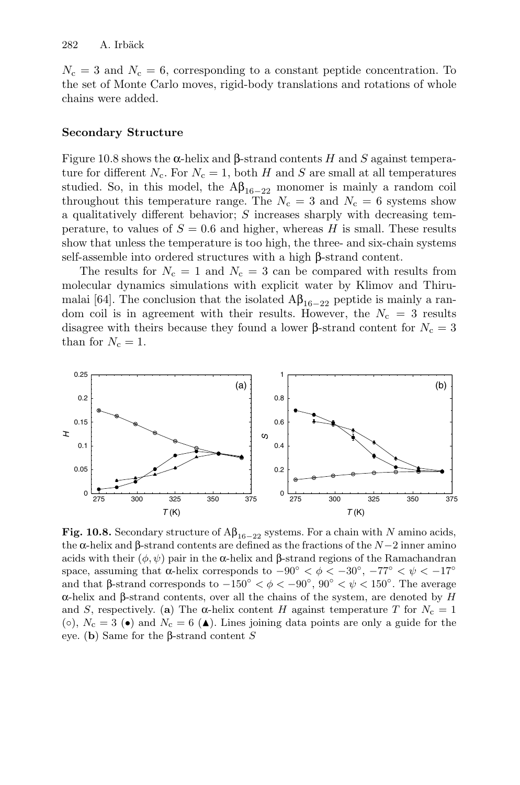$N_c = 3$  and  $N_c = 6$ , corresponding to a constant peptide concentration. To the set of Monte Carlo moves, rigid-body translations and rotations of whole chains were added.

#### **Secondary Structure**

Figure 10.8 shows the α-helix and β-strand contents H and S against temperature for different  $N_c$ . For  $N_c = 1$ , both H and S are small at all temperatures studied. So, in this model, the  $A\beta_{16-22}$  monomer is mainly a random coil throughout this temperature range. The  $N_c = 3$  and  $N_c = 6$  systems show a qualitatively different behavior;  $S$  increases sharply with decreasing temperature, to values of  $S = 0.6$  and higher, whereas H is small. These results show that unless the temperature is too high, the three- and six-chain systems self-assemble into ordered structures with a high β-strand content.

The results for  $N_c = 1$  and  $N_c = 3$  can be compared with results from molecular dynamics simulations with explicit water by Klimov and Thirumalai [64]. The conclusion that the isolated  $A\beta_{16-22}$  peptide is mainly a random coil is in agreement with their results. However, the  $N_c = 3$  results disagree with theirs because they found a lower  $\beta$ -strand content for  $N_c = 3$ than for  $N_c = 1$ .



**Fig. 10.8.** Secondary structure of  $A\beta_{16-22}$  systems. For a chain with N amino acids, the  $\alpha$ -helix and β-strand contents are defined as the fractions of the  $N-2$  inner amino acids with their  $(\phi, \psi)$  pair in the α-helix and β-strand regions of the Ramachandran space, assuming that  $\alpha$ -helix corresponds to  $-90^{\circ} < \phi < -30^{\circ}$ ,  $-77^{\circ} < \psi < -17^{\circ}$ and that β-strand corresponds to  $-150^{\circ} < \phi < -90^{\circ}$ ,  $90^{\circ} < \psi < 150^{\circ}$ . The average α-helix and β-strand contents, over all the chains of the system, are denoted by  $H$ and S, respectively. (a) The  $\alpha$ -helix content H against temperature T for  $N_c = 1$ ( $\circ$ ),  $N_c = 3$  ( $\bullet$ ) and  $N_c = 6$  ( $\bullet$ ). Lines joining data points are only a guide for the eye. (**b**) Same for the <sup>β</sup>-strand content <sup>S</sup>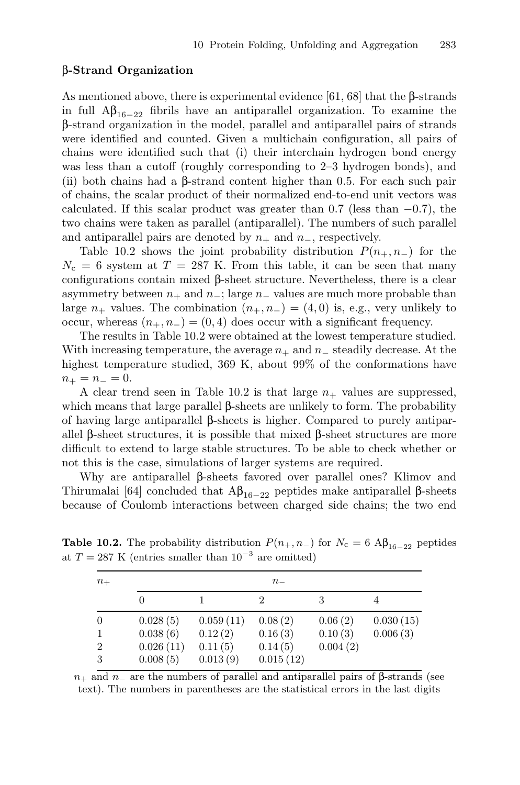#### β**-Strand Organization**

As mentioned above, there is experimental evidence [61, 68] that the  $\beta$ -strands in full  $\mathbf{A}\beta_{16-22}$  fibrils have an antiparallel organization. To examine the β-strand organization in the model, parallel and antiparallel pairs of strands were identified and counted. Given a multichain configuration, all pairs of chains were identified such that (i) their interchain hydrogen bond energy was less than a cutoff (roughly corresponding to 2–3 hydrogen bonds), and (ii) both chains had a β-strand content higher than 0.5. For each such pair of chains, the scalar product of their normalized end-to-end unit vectors was calculated. If this scalar product was greater than  $0.7$  (less than  $-0.7$ ), the two chains were taken as parallel (antiparallel). The numbers of such parallel and antiparallel pairs are denoted by  $n_+$  and  $n_-$ , respectively.

Table 10.2 shows the joint probability distribution  $P(n_{+}, n_{-})$  for the  $N_c = 6$  system at  $T = 287$  K. From this table, it can be seen that many configurations contain mixed β-sheet structure. Nevertheless, there is a clear asymmetry between  $n_+$  and  $n_-$ ; large  $n_-$  values are much more probable than large  $n_+$  values. The combination  $(n_+, n_-) = (4, 0)$  is, e.g., very unlikely to occur, whereas  $(n_+, n_-) = (0, 4)$  does occur with a significant frequency.

The results in Table 10.2 were obtained at the lowest temperature studied. With increasing temperature, the average  $n_+$  and  $n_-$  steadily decrease. At the highest temperature studied, 369 K, about 99% of the conformations have  $n_{+} = n_{-} = 0.$ 

A clear trend seen in Table 10.2 is that large  $n_{+}$  values are suppressed, which means that large parallel  $\beta$ -sheets are unlikely to form. The probability of having large antiparallel β-sheets is higher. Compared to purely antiparallel  $\beta$ -sheet structures, it is possible that mixed  $\beta$ -sheet structures are more difficult to extend to large stable structures. To be able to check whether or not this is the case, simulations of larger systems are required.

Why are antiparallel β-sheets favored over parallel ones? Klimov and Thirumalai [64] concluded that  $\mathbf{A}\beta_{16-22}$  peptides make antiparallel β-sheets because of Coulomb interactions between charged side chains; the two end

| $n_{+}$        | $n_{-}$   |           |           |          |           |  |
|----------------|-----------|-----------|-----------|----------|-----------|--|
|                | $\theta$  |           |           |          |           |  |
|                | 0.028(5)  | 0.059(11) | 0.08(2)   | 0.06(2)  | 0.030(15) |  |
|                | 0.038(6)  | 0.12(2)   | 0.16(3)   | 0.10(3)  | 0.006(3)  |  |
| $\overline{2}$ | 0.026(11) | 0.11(5)   | 0.14(5)   | 0.004(2) |           |  |
| 3              | 0.008(5)  | 0.013(9)  | 0.015(12) |          |           |  |

**Table 10.2.** The probability distribution  $P(n_{+}, n_{-})$  for  $N_c = 6$  A $\beta_{16-22}$  peptides at  $T = 287$  K (entries smaller than  $10^{-3}$  are omitted)

 $n_+$  and  $n_-\$  are the numbers of parallel and antiparallel pairs of  $\beta$ -strands (see text). The numbers in parentheses are the statistical errors in the last digits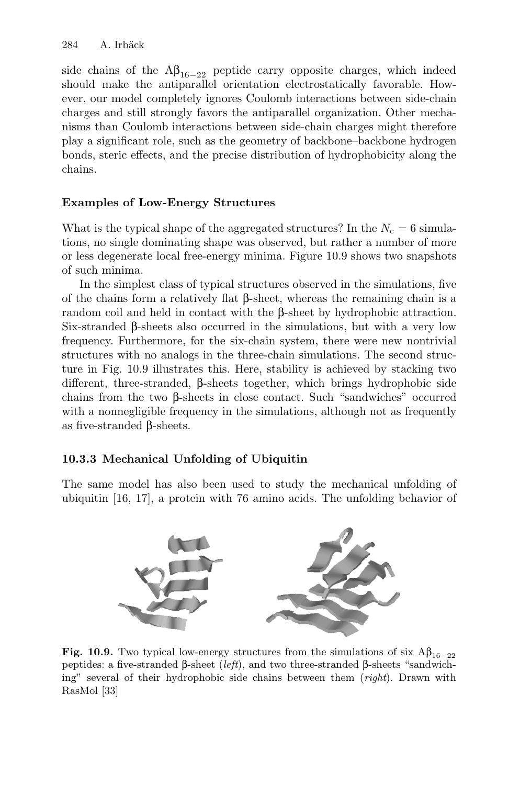side chains of the  $A\beta_{16-22}$  peptide carry opposite charges, which indeed should make the antiparallel orientation electrostatically favorable. However, our model completely ignores Coulomb interactions between side-chain charges and still strongly favors the antiparallel organization. Other mechanisms than Coulomb interactions between side-chain charges might therefore play a significant role, such as the geometry of backbone–backbone hydrogen bonds, steric effects, and the precise distribution of hydrophobicity along the chains.

## **Examples of Low-Energy Structures**

What is the typical shape of the aggregated structures? In the  $N_c = 6$  simulations, no single dominating shape was observed, but rather a number of more or less degenerate local free-energy minima. Figure 10.9 shows two snapshots of such minima.

In the simplest class of typical structures observed in the simulations, five of the chains form a relatively flat β-sheet, whereas the remaining chain is a random coil and held in contact with the β-sheet by hydrophobic attraction. Six-stranded β-sheets also occurred in the simulations, but with a very low frequency. Furthermore, for the six-chain system, there were new nontrivial structures with no analogs in the three-chain simulations. The second structure in Fig. 10.9 illustrates this. Here, stability is achieved by stacking two different, three-stranded, β-sheets together, which brings hydrophobic side chains from the two β-sheets in close contact. Such "sandwiches" occurred with a nonnegligible frequency in the simulations, although not as frequently as five-stranded β-sheets.

# **10.3.3 Mechanical Unfolding of Ubiquitin**

The same model has also been used to study the mechanical unfolding of ubiquitin [16, 17], a protein with 76 amino acids. The unfolding behavior of



**Fig. 10.9.** Two typical low-energy structures from the simulations of six  $A\beta_{16-22}$ peptides: a five-stranded β-sheet (*left*), and two three-stranded β-sheets "sandwiching" several of their hydrophobic side chains between them (*right*). Drawn with RasMol [33]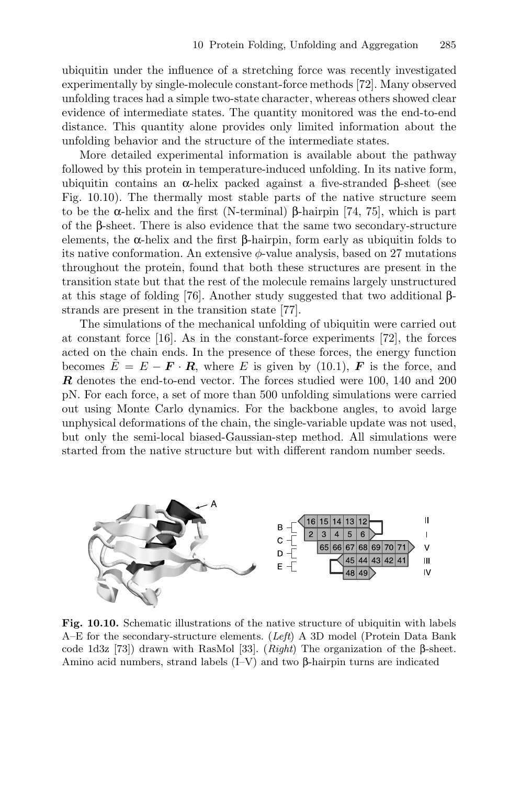ubiquitin under the influence of a stretching force was recently investigated experimentally by single-molecule constant-force methods [72]. Many observed unfolding traces had a simple two-state character, whereas others showed clear evidence of intermediate states. The quantity monitored was the end-to-end distance. This quantity alone provides only limited information about the unfolding behavior and the structure of the intermediate states.

More detailed experimental information is available about the pathway followed by this protein in temperature-induced unfolding. In its native form, ubiquitin contains an  $\alpha$ -helix packed against a five-stranded  $\beta$ -sheet (see Fig. 10.10). The thermally most stable parts of the native structure seem to be the α-helix and the first (N-terminal) β-hairpin [74, 75], which is part of the β-sheet. There is also evidence that the same two secondary-structure elements, the  $\alpha$ -helix and the first  $\beta$ -hairpin, form early as ubiquitin folds to its native conformation. An extensive  $\phi$ -value analysis, based on 27 mutations throughout the protein, found that both these structures are present in the transition state but that the rest of the molecule remains largely unstructured at this stage of folding [76]. Another study suggested that two additional βstrands are present in the transition state [77].

The simulations of the mechanical unfolding of ubiquitin were carried out at constant force [16]. As in the constant-force experiments [72], the forces acted on the chain ends. In the presence of these forces, the energy function becomes  $E = E - \mathbf{F} \cdot \mathbf{R}$ , where E is given by (10.1), F is the force, and *R* denotes the end-to-end vector. The forces studied were 100, 140 and 200 pN. For each force, a set of more than 500 unfolding simulations were carried out using Monte Carlo dynamics. For the backbone angles, to avoid large unphysical deformations of the chain, the single-variable update was not used, but only the semi-local biased-Gaussian-step method. All simulations were started from the native structure but with different random number seeds.



**Fig. 10.10.** Schematic illustrations of the native structure of ubiquitin with labels A–E for the secondary-structure elements. (*Left*) A 3D model (Protein Data Bank code 1d3z [73]) drawn with RasMol [33]. (*Right*) The organization of the β-sheet. Amino acid numbers, strand labels (I–V) and two β-hairpin turns are indicated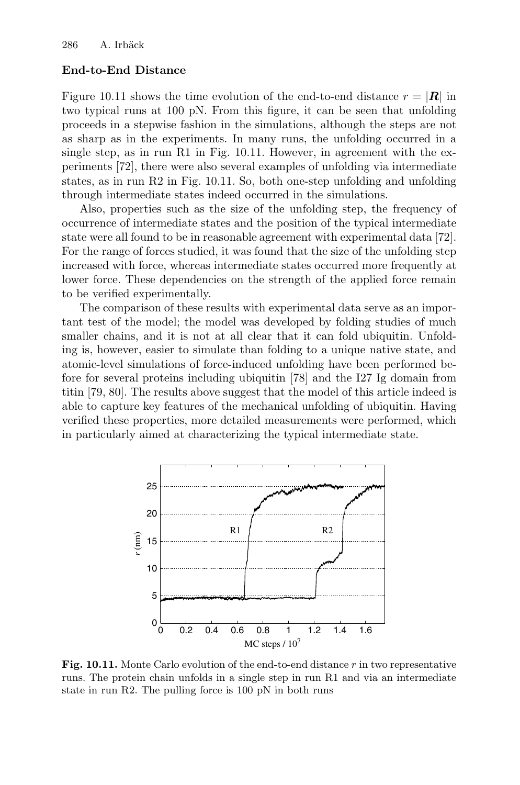#### **End-to-End Distance**

Figure 10.11 shows the time evolution of the end-to-end distance  $r = |R|$  in two typical runs at 100 pN. From this figure, it can be seen that unfolding proceeds in a stepwise fashion in the simulations, although the steps are not as sharp as in the experiments. In many runs, the unfolding occurred in a single step, as in run R1 in Fig. 10.11. However, in agreement with the experiments [72], there were also several examples of unfolding via intermediate states, as in run R2 in Fig. 10.11. So, both one-step unfolding and unfolding through intermediate states indeed occurred in the simulations.

Also, properties such as the size of the unfolding step, the frequency of occurrence of intermediate states and the position of the typical intermediate state were all found to be in reasonable agreement with experimental data [72]. For the range of forces studied, it was found that the size of the unfolding step increased with force, whereas intermediate states occurred more frequently at lower force. These dependencies on the strength of the applied force remain to be verified experimentally.

The comparison of these results with experimental data serve as an important test of the model; the model was developed by folding studies of much smaller chains, and it is not at all clear that it can fold ubiquitin. Unfolding is, however, easier to simulate than folding to a unique native state, and atomic-level simulations of force-induced unfolding have been performed before for several proteins including ubiquitin [78] and the I27 Ig domain from titin [79, 80]. The results above suggest that the model of this article indeed is able to capture key features of the mechanical unfolding of ubiquitin. Having verified these properties, more detailed measurements were performed, which in particularly aimed at characterizing the typical intermediate state.



**Fig. 10.11.** Monte Carlo evolution of the end-to-end distance r in two representative runs. The protein chain unfolds in a single step in run R1 and via an intermediate state in run R2. The pulling force is 100 pN in both runs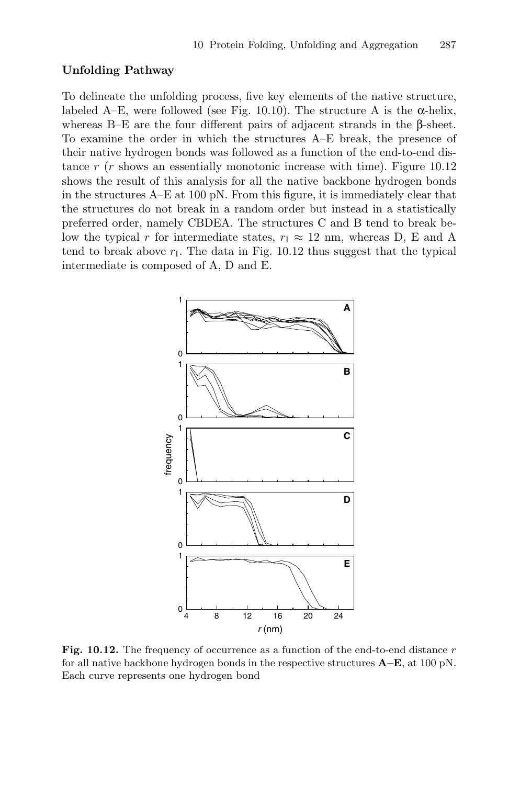#### **Unfolding Pathway**

To delineate the unfolding process, five key elements of the native structure, labeled A–E, were followed (see Fig. 10.10). The structure A is the  $\alpha$ -helix, whereas B–E are the four different pairs of adjacent strands in the  $\beta$ -sheet. To examine the order in which the structures A–E break, the presence of their native hydrogen bonds was followed as a function of the end-to-end distance  $r$  ( $r$  shows an essentially monotonic increase with time). Figure 10.12 shows the result of this analysis for all the native backbone hydrogen bonds in the structures A–E at 100 pN. From this figure, it is immediately clear that the structures do not break in a random order but instead in a statistically preferred order, namely CBDEA. The structures C and B tend to break below the typical r for intermediate states,  $r_I \approx 12$  nm, whereas D, E and A tend to break above  $r<sub>I</sub>$ . The data in Fig. 10.12 thus suggest that the typical intermediate is composed of A, D and E.



**Fig. 10.12.** The frequency of occurrence as a function of the end-to-end distance r for all native backbone hydrogen bonds in the respective structures **A–E**, at 100 pN. Each curve represents one hydrogen bond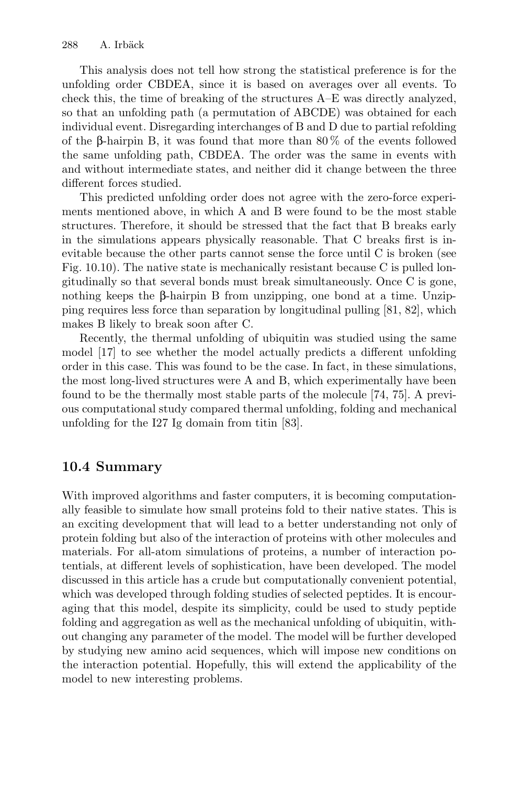This analysis does not tell how strong the statistical preference is for the unfolding order CBDEA, since it is based on averages over all events. To check this, the time of breaking of the structures A–E was directly analyzed, so that an unfolding path (a permutation of ABCDE) was obtained for each individual event. Disregarding interchanges of B and D due to partial refolding of the β-hairpin B, it was found that more than  $80\%$  of the events followed the same unfolding path, CBDEA. The order was the same in events with and without intermediate states, and neither did it change between the three different forces studied.

This predicted unfolding order does not agree with the zero-force experiments mentioned above, in which A and B were found to be the most stable structures. Therefore, it should be stressed that the fact that B breaks early in the simulations appears physically reasonable. That C breaks first is inevitable because the other parts cannot sense the force until C is broken (see Fig. 10.10). The native state is mechanically resistant because C is pulled longitudinally so that several bonds must break simultaneously. Once C is gone, nothing keeps the β-hairpin B from unzipping, one bond at a time. Unzipping requires less force than separation by longitudinal pulling [81, 82], which makes B likely to break soon after C.

Recently, the thermal unfolding of ubiquitin was studied using the same model [17] to see whether the model actually predicts a different unfolding order in this case. This was found to be the case. In fact, in these simulations, the most long-lived structures were A and B, which experimentally have been found to be the thermally most stable parts of the molecule [74, 75]. A previous computational study compared thermal unfolding, folding and mechanical unfolding for the I27 Ig domain from titin [83].

# **10.4 Summary**

With improved algorithms and faster computers, it is becoming computationally feasible to simulate how small proteins fold to their native states. This is an exciting development that will lead to a better understanding not only of protein folding but also of the interaction of proteins with other molecules and materials. For all-atom simulations of proteins, a number of interaction potentials, at different levels of sophistication, have been developed. The model discussed in this article has a crude but computationally convenient potential, which was developed through folding studies of selected peptides. It is encouraging that this model, despite its simplicity, could be used to study peptide folding and aggregation as well as the mechanical unfolding of ubiquitin, without changing any parameter of the model. The model will be further developed by studying new amino acid sequences, which will impose new conditions on the interaction potential. Hopefully, this will extend the applicability of the model to new interesting problems.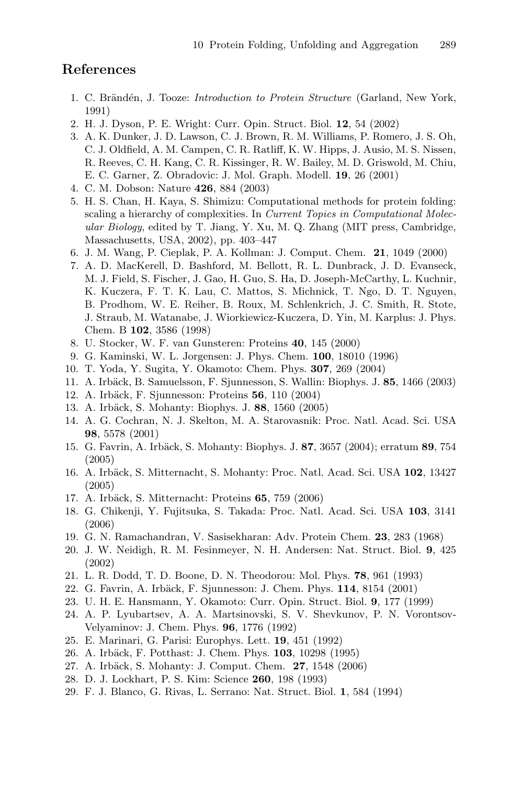# **References**

- 1. C. Brändén, J. Tooze: *Introduction to Protein Structure* (Garland, New York, 1991)
- 2. H. J. Dyson, P. E. Wright: Curr. Opin. Struct. Biol. **12**, 54 (2002)
- 3. A. K. Dunker, J. D. Lawson, C. J. Brown, R. M. Williams, P. Romero, J. S. Oh, C. J. Oldfield, A. M. Campen, C. R. Ratliff, K. W. Hipps, J. Ausio, M. S. Nissen, R. Reeves, C. H. Kang, C. R. Kissinger, R. W. Bailey, M. D. Griswold, M. Chiu, E. C. Garner, Z. Obradovic: J. Mol. Graph. Modell. **19**, 26 (2001)
- 4. C. M. Dobson: Nature **426**, 884 (2003)
- 5. H. S. Chan, H. Kaya, S. Shimizu: Computational methods for protein folding: scaling a hierarchy of complexities. In *Current Topics in Computational Molecular Biology*, edited by T. Jiang, Y. Xu, M. Q. Zhang (MIT press, Cambridge, Massachusetts, USA, 2002), pp. 403–447
- 6. J. M. Wang, P. Cieplak, P. A. Kollman: J. Comput. Chem. **21**, 1049 (2000)
- 7. A. D. MacKerell, D. Bashford, M. Bellott, R. L. Dunbrack, J. D. Evanseck, M. J. Field, S. Fischer, J. Gao, H. Guo, S. Ha, D. Joseph-McCarthy, L. Kuchnir, K. Kuczera, F. T. K. Lau, C. Mattos, S. Michnick, T. Ngo, D. T. Nguyen, B. Prodhom, W. E. Reiher, B. Roux, M. Schlenkrich, J. C. Smith, R. Stote, J. Straub, M. Watanabe, J. Wiorkiewicz-Kuczera, D. Yin, M. Karplus: J. Phys. Chem. B **102**, 3586 (1998)
- 8. U. Stocker, W. F. van Gunsteren: Proteins **40**, 145 (2000)
- 9. G. Kaminski, W. L. Jorgensen: J. Phys. Chem. **100**, 18010 (1996)
- 10. T. Yoda, Y. Sugita, Y. Okamoto: Chem. Phys. **307**, 269 (2004)
- 11. A. Irb¨ack, B. Samuelsson, F. Sjunnesson, S. Wallin: Biophys. J. **85**, 1466 (2003)
- 12. A. Irb¨ack, F. Sjunnesson: Proteins **56**, 110 (2004)
- 13. A. Irb¨ack, S. Mohanty: Biophys. J. **88**, 1560 (2005)
- 14. A. G. Cochran, N. J. Skelton, M. A. Starovasnik: Proc. Natl. Acad. Sci. USA **98**, 5578 (2001)
- 15. G. Favrin, A. Irb¨ack, S. Mohanty: Biophys. J. **87**, 3657 (2004); erratum **89**, 754 (2005)
- 16. A. Irb¨ack, S. Mitternacht, S. Mohanty: Proc. Natl. Acad. Sci. USA **102**, 13427 (2005)
- 17. A. Irb¨ack, S. Mitternacht: Proteins **65**, 759 (2006)
- 18. G. Chikenji, Y. Fujitsuka, S. Takada: Proc. Natl. Acad. Sci. USA **103**, 3141 (2006)
- 19. G. N. Ramachandran, V. Sasisekharan: Adv. Protein Chem. **23**, 283 (1968)
- 20. J. W. Neidigh, R. M. Fesinmeyer, N. H. Andersen: Nat. Struct. Biol. **9**, 425 (2002)
- 21. L. R. Dodd, T. D. Boone, D. N. Theodorou: Mol. Phys. **78**, 961 (1993)
- 22. G. Favrin, A. Irb¨ack, F. Sjunnesson: J. Chem. Phys. **114**, 8154 (2001)
- 23. U. H. E. Hansmann, Y. Okamoto: Curr. Opin. Struct. Biol. **9**, 177 (1999)
- 24. A. P. Lyubartsev, A. A. Martsinovski, S. V. Shevkunov, P. N. Vorontsov-Velyaminov: J. Chem. Phys. **96**, 1776 (1992)
- 25. E. Marinari, G. Parisi: Europhys. Lett. **19**, 451 (1992)
- 26. A. Irb¨ack, F. Potthast: J. Chem. Phys. **103**, 10298 (1995)
- 27. A. Irb¨ack, S. Mohanty: J. Comput. Chem. **27**, 1548 (2006)
- 28. D. J. Lockhart, P. S. Kim: Science **260**, 198 (1993)
- 29. F. J. Blanco, G. Rivas, L. Serrano: Nat. Struct. Biol. **1**, 584 (1994)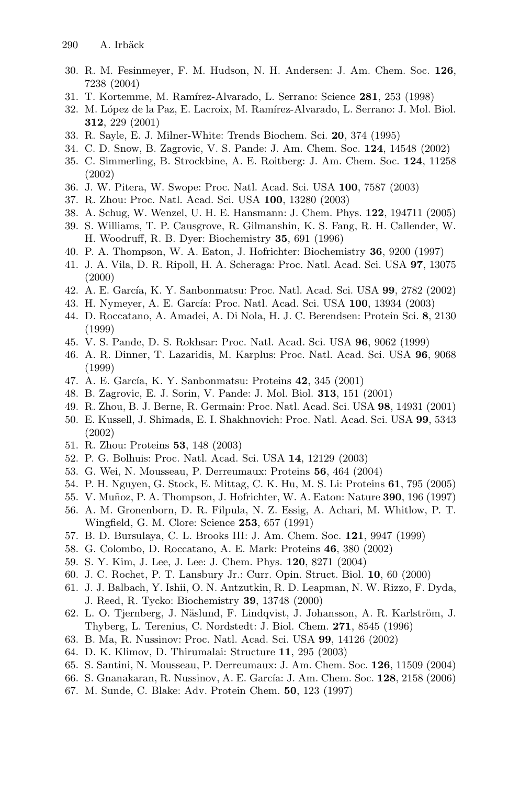- 30. R. M. Fesinmeyer, F. M. Hudson, N. H. Andersen: J. Am. Chem. Soc. **126**, 7238 (2004)
- 31. T. Kortemme, M. Ram´ırez-Alvarado, L. Serrano: Science **281**, 253 (1998)
- 32. M. López de la Paz, E. Lacroix, M. Ramírez-Alvarado, L. Serrano: J. Mol. Biol. **312**, 229 (2001)
- 33. R. Sayle, E. J. Milner-White: Trends Biochem. Sci. **20**, 374 (1995)
- 34. C. D. Snow, B. Zagrovic, V. S. Pande: J. Am. Chem. Soc. **124**, 14548 (2002)
- 35. C. Simmerling, B. Strockbine, A. E. Roitberg: J. Am. Chem. Soc. **124**, 11258 (2002)
- 36. J. W. Pitera, W. Swope: Proc. Natl. Acad. Sci. USA **100**, 7587 (2003)
- 37. R. Zhou: Proc. Natl. Acad. Sci. USA **100**, 13280 (2003)
- 38. A. Schug, W. Wenzel, U. H. E. Hansmann: J. Chem. Phys. **122**, 194711 (2005)
- 39. S. Williams, T. P. Causgrove, R. Gilmanshin, K. S. Fang, R. H. Callender, W. H. Woodruff, R. B. Dyer: Biochemistry **35**, 691 (1996)
- 40. P. A. Thompson, W. A. Eaton, J. Hofrichter: Biochemistry **36**, 9200 (1997)
- 41. J. A. Vila, D. R. Ripoll, H. A. Scheraga: Proc. Natl. Acad. Sci. USA **97**, 13075 (2000)
- 42. A. E. Garc´ıa, K. Y. Sanbonmatsu: Proc. Natl. Acad. Sci. USA **99**, 2782 (2002)
- 43. H. Nymeyer, A. E. García: Proc. Natl. Acad. Sci. USA 100, 13934 (2003)
- 44. D. Roccatano, A. Amadei, A. Di Nola, H. J. C. Berendsen: Protein Sci. **8**, 2130 (1999)
- 45. V. S. Pande, D. S. Rokhsar: Proc. Natl. Acad. Sci. USA **96**, 9062 (1999)
- 46. A. R. Dinner, T. Lazaridis, M. Karplus: Proc. Natl. Acad. Sci. USA **96**, 9068 (1999)
- 47. A. E. García, K. Y. Sanbonmatsu: Proteins **42**, 345 (2001)
- 48. B. Zagrovic, E. J. Sorin, V. Pande: J. Mol. Biol. **313**, 151 (2001)
- 49. R. Zhou, B. J. Berne, R. Germain: Proc. Natl. Acad. Sci. USA **98**, 14931 (2001)
- 50. E. Kussell, J. Shimada, E. I. Shakhnovich: Proc. Natl. Acad. Sci. USA **99**, 5343 (2002)
- 51. R. Zhou: Proteins **53**, 148 (2003)
- 52. P. G. Bolhuis: Proc. Natl. Acad. Sci. USA **14**, 12129 (2003)
- 53. G. Wei, N. Mousseau, P. Derreumaux: Proteins **56**, 464 (2004)
- 54. P. H. Nguyen, G. Stock, E. Mittag, C. K. Hu, M. S. Li: Proteins **61**, 795 (2005)
- 55. V. Mu˜noz, P. A. Thompson, J. Hofrichter, W. A. Eaton: Nature **390**, 196 (1997)
- 56. A. M. Gronenborn, D. R. Filpula, N. Z. Essig, A. Achari, M. Whitlow, P. T. Wingfield, G. M. Clore: Science **253**, 657 (1991)
- 57. B. D. Bursulaya, C. L. Brooks III: J. Am. Chem. Soc. **121**, 9947 (1999)
- 58. G. Colombo, D. Roccatano, A. E. Mark: Proteins **46**, 380 (2002)
- 59. S. Y. Kim, J. Lee, J. Lee: J. Chem. Phys. **120**, 8271 (2004)
- 60. J. C. Rochet, P. T. Lansbury Jr.: Curr. Opin. Struct. Biol. **10**, 60 (2000)
- 61. J. J. Balbach, Y. Ishii, O. N. Antzutkin, R. D. Leapman, N. W. Rizzo, F. Dyda, J. Reed, R. Tycko: Biochemistry **39**, 13748 (2000)
- 62. L. O. Tjernberg, J. Näslund, F. Lindqvist, J. Johansson, A. R. Karlström, J. Thyberg, L. Terenius, C. Nordstedt: J. Biol. Chem. **271**, 8545 (1996)
- 63. B. Ma, R. Nussinov: Proc. Natl. Acad. Sci. USA **99**, 14126 (2002)
- 64. D. K. Klimov, D. Thirumalai: Structure **11**, 295 (2003)
- 65. S. Santini, N. Mousseau, P. Derreumaux: J. Am. Chem. Soc. **126**, 11509 (2004)
- 66. S. Gnanakaran, R. Nussinov, A. E. Garc´ıa: J. Am. Chem. Soc. **128**, 2158 (2006)
- 67. M. Sunde, C. Blake: Adv. Protein Chem. **50**, 123 (1997)